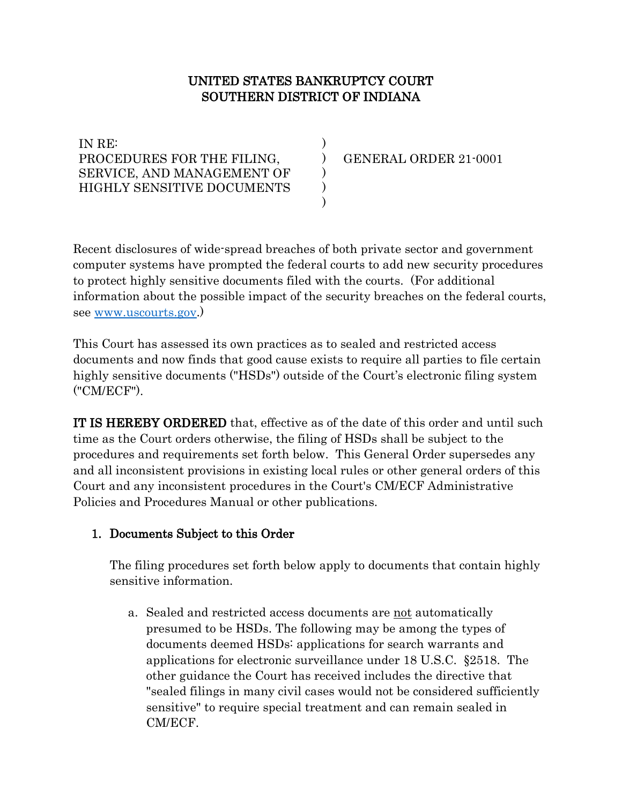# UNITED STATES BANKRUPTCY COURT SOUTHERN DISTRICT OF INDIANA

) ) ) ) )

IN RE: PROCEDURES FOR THE FILING, SERVICE, AND MANAGEMENT OF HIGHLY SENSITIVE DOCUMENTS

GENERAL ORDER 21-0001

Recent disclosures of wide-spread breaches of both private sector and government computer systems have prompted the federal courts to add new security procedures to protect highly sensitive documents filed with the courts. (For additional information about the possible impact of the security breaches on the federal courts, see [www.uscourts.gov.](http://www.uscourts.gov/))

This Court has assessed its own practices as to sealed and restricted access documents and now finds that good cause exists to require all parties to file certain highly sensitive documents ("HSDs") outside of the Court's electronic filing system ("CM/ECF").

IT IS HEREBY ORDERED that, effective as of the date of this order and until such time as the Court orders otherwise, the filing of HSDs shall be subject to the procedures and requirements set forth below. This General Order supersedes any and all inconsistent provisions in existing local rules or other general orders of this Court and any inconsistent procedures in the Court's CM/ECF Administrative Policies and Procedures Manual or other publications.

# 1. Documents Subject to this Order

The filing procedures set forth below apply to documents that contain highly sensitive information.

a. Sealed and restricted access documents are not automatically presumed to be HSDs. The following may be among the types of documents deemed HSDs: applications for search warrants and applications for electronic surveillance under 18 U.S.C. §2518. The other guidance the Court has received includes the directive that "sealed filings in many civil cases would not be considered sufficiently sensitive" to require special treatment and can remain sealed in CM/ECF.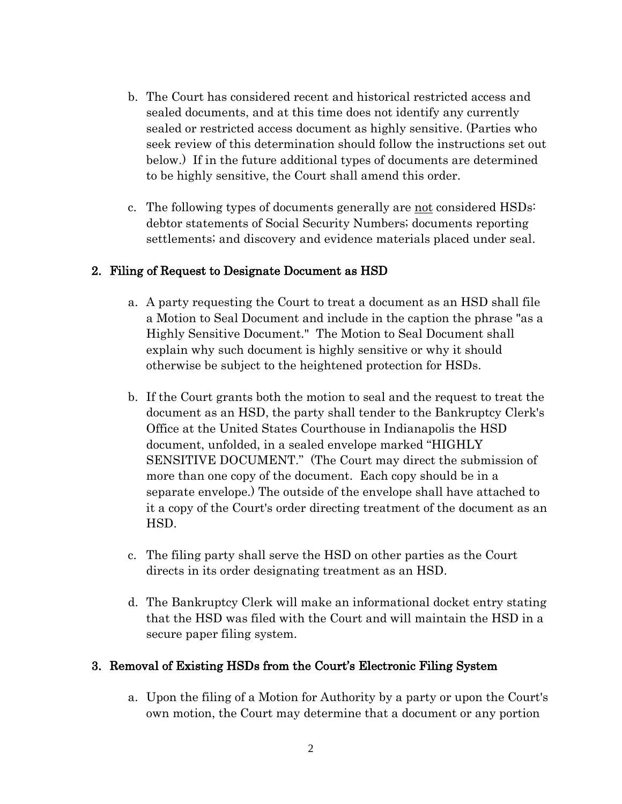- b. The Court has considered recent and historical restricted access and sealed documents, and at this time does not identify any currently sealed or restricted access document as highly sensitive. (Parties who seek review of this determination should follow the instructions set out below.) If in the future additional types of documents are determined to be highly sensitive, the Court shall amend this order.
- c. The following types of documents generally are not considered HSDs: debtor statements of Social Security Numbers; documents reporting settlements; and discovery and evidence materials placed under seal.

#### 2. Filing of Request to Designate Document as HSD

- a. A party requesting the Court to treat a document as an HSD shall file a Motion to Seal Document and include in the caption the phrase "as a Highly Sensitive Document." The Motion to Seal Document shall explain why such document is highly sensitive or why it should otherwise be subject to the heightened protection for HSDs.
- b. If the Court grants both the motion to seal and the request to treat the document as an HSD, the party shall tender to the Bankruptcy Clerk's Office at the United States Courthouse in Indianapolis the HSD document, unfolded, in a sealed envelope marked "HIGHLY SENSITIVE DOCUMENT." (The Court may direct the submission of more than one copy of the document. Each copy should be in a separate envelope.) The outside of the envelope shall have attached to it a copy of the Court's order directing treatment of the document as an HSD.
- c. The filing party shall serve the HSD on other parties as the Court directs in its order designating treatment as an HSD.
- d. The Bankruptcy Clerk will make an informational docket entry stating that the HSD was filed with the Court and will maintain the HSD in a secure paper filing system.

### 3. Removal of Existing HSDs from the Court's Electronic Filing System

a. Upon the filing of a Motion for Authority by a party or upon the Court's own motion, the Court may determine that a document or any portion